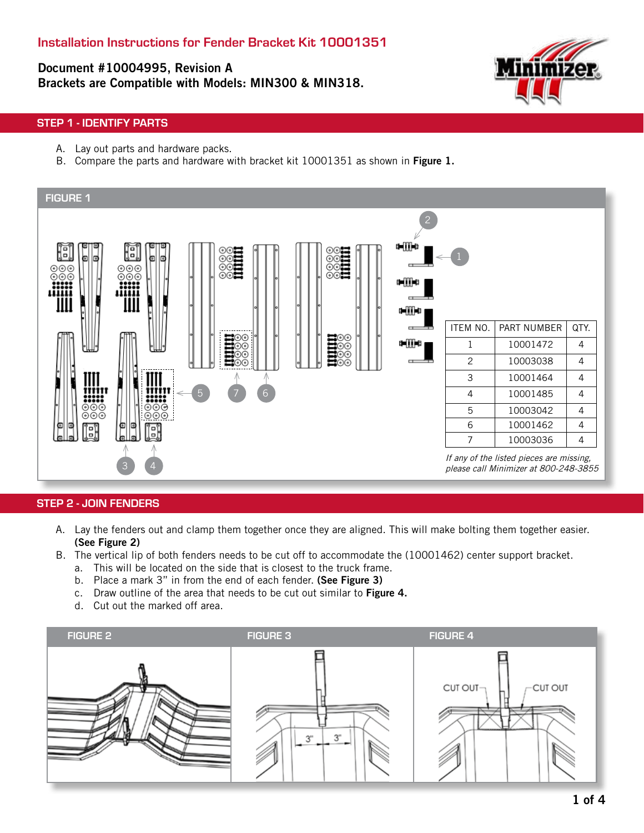Document #10004995, Revision A Brackets are Compatible with Models: MIN300 & MIN318.



#### STEP 1 - IDENTIFY PARTS

- A. Lay out parts and hardware packs.
- B. Compare the parts and hardware with bracket kit 10001351 as shown in Figure 1.



#### STEP 2 - JOIN FENDERS

- A. Lay the fenders out and clamp them together once they are aligned. This will make bolting them together easier. (See Figure 2)
- B. The vertical lip of both fenders needs to be cut off to accommodate the (10001462) center support bracket.
	- a. This will be located on the side that is closest to the truck frame.
	- b. Place a mark 3" in from the end of each fender. (See Figure 3)
	- c. Draw outline of the area that needs to be cut out similar to Figure 4.
	- d. Cut out the marked off area.

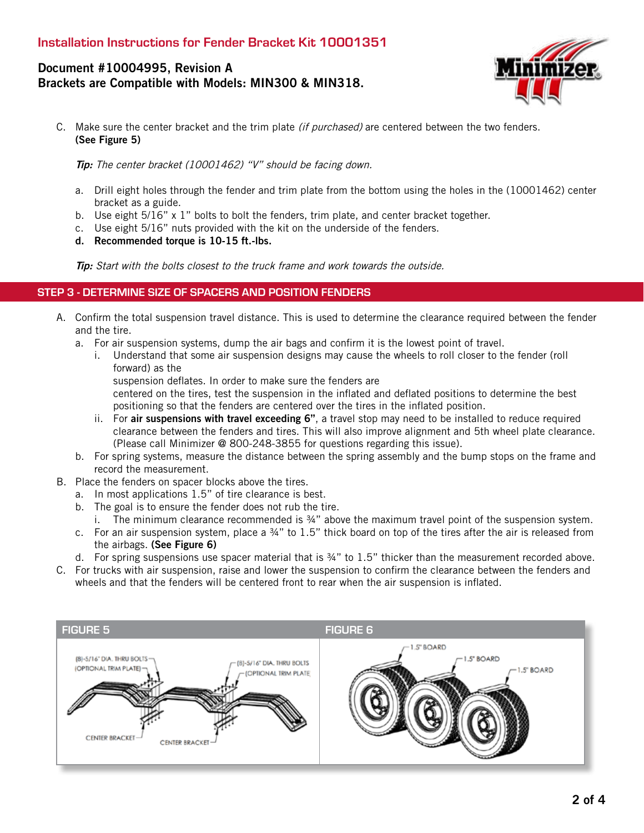# Document #10004995, Revision A Brackets are Compatible with Models: MIN300 & MIN318.



C. Make sure the center bracket and the trim plate *(if purchased)* are centered between the two fenders. (See Figure 5)

Tip: The center bracket (10001462) "V" should be facing down.

- a. Drill eight holes through the fender and trim plate from the bottom using the holes in the (10001462) center bracket as a guide.
- b. Use eight  $5/16$ " x 1" bolts to bolt the fenders, trim plate, and center bracket together.
- c. Use eight 5/16" nuts provided with the kit on the underside of the fenders.
- d. Recommended torque is 10-15 ft.-lbs.

Tip: Start with the bolts closest to the truck frame and work towards the outside.

#### STEP 3 - DETERMINE SIZE OF SPACERS AND POSITION FENDERS

- A. Confirm the total suspension travel distance. This is used to determine the clearance required between the fender and the tire.
	- a. For air suspension systems, dump the air bags and confirm it is the lowest point of travel.
		- i. Understand that some air suspension designs may cause the wheels to roll closer to the fender (roll forward) as the
			- suspension deflates. In order to make sure the fenders are

centered on the tires, test the suspension in the inflated and deflated positions to determine the best positioning so that the fenders are centered over the tires in the inflated position.

- ii. For air suspensions with travel exceeding 6", a travel stop may need to be installed to reduce required clearance between the fenders and tires. This will also improve alignment and 5th wheel plate clearance. (Please call Minimizer @ 800-248-3855 for questions regarding this issue).
- b. For spring systems, measure the distance between the spring assembly and the bump stops on the frame and record the measurement.
- B. Place the fenders on spacer blocks above the tires.
	- a. In most applications 1.5" of tire clearance is best.
	- b. The goal is to ensure the fender does not rub the tire.
		- i. The minimum clearance recommended is ¾" above the maximum travel point of the suspension system.
	- c. For an air suspension system, place a ¾" to 1.5" thick board on top of the tires after the air is released from the airbags. (See Figure 6)
	- d. For spring suspensions use spacer material that is ¾" to 1.5" thicker than the measurement recorded above.
- C. For trucks with air suspension, raise and lower the suspension to confirm the clearance between the fenders and wheels and that the fenders will be centered front to rear when the air suspension is inflated.

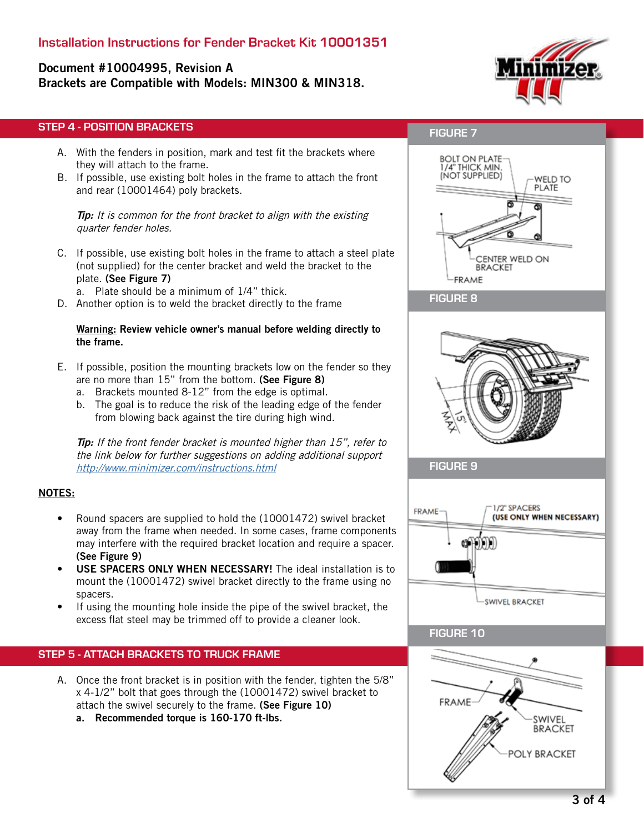# Installation Instructions for Fender Bracket Kit 10001351

# Document #10004995, Revision A Brackets are Compatible with Models: MIN300 & MIN318.



# STEP 4 - POSITION BRACKETS

- A. With the fenders in position, mark and test fit the brackets where they will attach to the frame.
- B. If possible, use existing bolt holes in the frame to attach the front and rear (10001464) poly brackets.

**Tip:** It is common for the front bracket to align with the existing quarter fender holes.

- C. If possible, use existing bolt holes in the frame to attach a steel plate (not supplied) for the center bracket and weld the bracket to the plate. (See Figure 7)
	- a. Plate should be a minimum of 1/4" thick.
- D. Another option is to weld the bracket directly to the frame

#### Warning: Review vehicle owner's manual before welding directly to the frame.

- E. If possible, position the mounting brackets low on the fender so they are no more than 15" from the bottom. (See Figure 8)
	- a. Brackets mounted 8-12" from the edge is optimal.
	- b. The goal is to reduce the risk of the leading edge of the fender from blowing back against the tire during high wind.

Tip: If the front fender bracket is mounted higher than 15", refer to the link below for further suggestions on adding additional support http://www.minimizer.com/instructions.html

#### NOTES:

- Round spacers are supplied to hold the (10001472) swivel bracket away from the frame when needed. In some cases, frame components may interfere with the required bracket location and require a spacer. (See Figure 9)
- USE SPACERS ONLY WHEN NECESSARY! The ideal installation is to mount the (10001472) swivel bracket directly to the frame using no spacers.
- If using the mounting hole inside the pipe of the swivel bracket, the excess flat steel may be trimmed off to provide a cleaner look.

## STEP 5 - ATTACH BRACKETS TO TRUCK FRAME

- A. Once the front bracket is in position with the fender, tighten the 5/8" x 4-1/2" bolt that goes through the (10001472) swivel bracket to attach the swivel securely to the frame. (See Figure 10)
	- a. Recommended torque is 160-170 ft-lbs.

# FIGURE 7



### FIGURE 8



FIGURE 9



### FIGURE 10